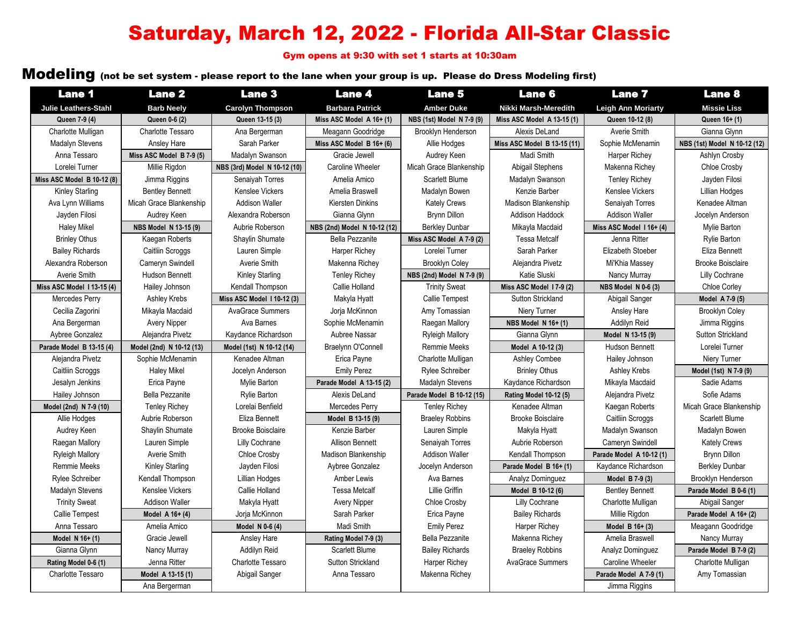# Saturday, March 12, 2022 - Florida All-Star Classic

Gym opens at 9:30 with set 1 starts at 10:30am

### Modeling (not be set system - please report to the lane when your group is up. Please do Dress Modeling first)

| <b>Lane 1</b>               | <b>Lane 2</b>            | <b>Lane 3</b>                | <b>Lane 4</b>                | <b>Lane 5</b>             | <b>Lane 6</b>                 | <b>Lane 7</b>              | <b>Lane 8</b>                |
|-----------------------------|--------------------------|------------------------------|------------------------------|---------------------------|-------------------------------|----------------------------|------------------------------|
| <b>Julie Leathers-Stahl</b> | <b>Barb Neely</b>        | <b>Carolyn Thompson</b>      | <b>Barbara Patrick</b>       | <b>Amber Duke</b>         | Nikki Marsh-Meredith          | <b>Leigh Ann Moriarty</b>  | <b>Missie Liss</b>           |
| Queen 7-9 (4)               | Queen 0-6 (2)            | Queen 13-15 (3)              | Miss ASC Model $A$ 16+ (1)   | NBS (1st) Model N 7-9 (9) | Miss ASC Model A 13-15 (1)    | Queen 10-12 (8)            | Queen 16+ (1)                |
| Charlotte Mulligan          | <b>Charlotte Tessaro</b> | Ana Bergerman                | Meagann Goodridge            | Brooklyn Henderson        | Alexis DeLand                 | Averie Smith               | Gianna Glynn                 |
| Madalyn Stevens             | Ansley Hare              | Sarah Parker                 | Miss ASC Model $B$ 16+ (6)   | Allie Hodges              | Miss ASC Model B 13-15 (11)   | Sophie McMenamin           | NBS (1st) Model N 10-12 (12) |
| Anna Tessaro                | Miss ASC Model B 7-9 (5) | Madalyn Swanson              | Gracie Jewell                | Audrey Keen               | Madi Smith                    | <b>Harper Richey</b>       | Ashlyn Crosby                |
| Lorelei Turner              | Millie Rigdon            | NBS (3rd) Model N 10-12 (10) | Caroline Wheeler             | Micah Grace Blankenship   | Abigail Stephens              | Makenna Richey             | Chloe Crosby                 |
| Miss ASC Model B 10-12 (8)  | Jimma Riggins            | Senaiyah Torres              | Amelia Amico                 | Scarlett Blume            | Madalyn Swanson               | <b>Tenley Richey</b>       | Jayden Filosi                |
| <b>Kinley Starling</b>      | <b>Bentley Bennett</b>   | Kenslee Vickers              | Amelia Braswell              | Madalyn Bowen             | Kenzie Barber                 | Kenslee Vickers            | <b>Lillian Hodges</b>        |
| Ava Lynn Williams           | Micah Grace Blankenship  | <b>Addison Waller</b>        | Kiersten Dinkins             | <b>Kately Crews</b>       | Madison Blankenship           | Senaiyah Torres            | Kenadee Altman               |
| Javden Filosi               | Audrey Keen              | Alexandra Roberson           | Gianna Glynn                 | <b>Brvnn Dillon</b>       | <b>Addison Haddock</b>        | <b>Addison Waller</b>      | Jocelyn Anderson             |
| <b>Haley Mikel</b>          | NBS Model N 13-15 (9)    | Aubrie Roberson              | NBS (2nd) Model N 10-12 (12) | <b>Berkley Dunbar</b>     | Mikayla Macdaid               | Miss ASC Model $116+ (4)$  | Mylie Barton                 |
| <b>Brinley Othus</b>        | Kaegan Roberts           | Shaylin Shumate              | Bella Pezzanite              | Miss ASC Model A 7-9 (2)  | <b>Tessa Metcalf</b>          | Jenna Ritter               | Rylie Barton                 |
| <b>Bailey Richards</b>      | Caitliin Scroggs         | Lauren Simple                | Harper Richey                | Lorelei Turner            | Sarah Parker                  | Elizabeth Stoeber          | Eliza Bennett                |
| Alexandra Roberson          | Cameryn Swindell         | Averie Smith                 | Makenna Richey               | <b>Brooklyn Coley</b>     | Alejandra Pivetz              | Mi'Khia Massey             | <b>Brooke Boisclaire</b>     |
| Averie Smith                | <b>Hudson Bennett</b>    | <b>Kinley Starling</b>       | <b>Tenley Richey</b>         | NBS (2nd) Model N 7-9 (9) | Katie Sluski                  | Nancy Murray               | Lilly Cochrane               |
| Miss ASC Model 113-15 (4)   | Hailey Johnson           | Kendall Thompson             | Callie Holland               | <b>Trinity Sweat</b>      | Miss ASC Model 17-9 (2)       | <b>NBS Model N 0-6 (3)</b> | <b>Chloe Corley</b>          |
| Mercedes Perry              | Ashley Krebs             | Miss ASC Model 110-12 (3)    | Makyla Hyatt                 | <b>Callie Tempest</b>     | Sutton Strickland             | Abigail Sanger             | Model A 7-9 (5)              |
| Cecilia Zagorini            | Mikayla Macdaid          | <b>AvaGrace Summers</b>      | Jorja McKinnon               | Amy Tomassian             | Niery Turner                  | Ansley Hare                | <b>Brooklyn Coley</b>        |
| Ana Bergerman               | <b>Avery Nipper</b>      | Ava Barnes                   | Sophie McMenamin             | Raegan Mallory            | NBS Model N 16+ (1)           | Addilyn Reid               | Jimma Riggins                |
| Aybree Gonzalez             | Alejandra Pivetz         | Kaydance Richardson          | Aubree Nassar                | <b>Ryleigh Mallory</b>    | Gianna Glynn                  | Model N 13-15 (9)          | <b>Sutton Strickland</b>     |
| Parade Model B 13-15 (4)    | Model (2nd) N 10-12 (13) | Model (1st) N 10-12 (14)     | Braelynn O'Connell           | Remmie Meeks              | Model A 10-12 (3)             | Hudson Bennett             | Lorelei Turner               |
| Alejandra Pivetz            | Sophie McMenamin         | Kenadee Altman               | Erica Payne                  | Charlotte Mulligan        | Ashley Combee                 | Hailey Johnson             | Niery Turner                 |
| Caitliin Scroggs            | <b>Haley Mikel</b>       | Jocelyn Anderson             | <b>Emily Perez</b>           | <b>Rylee Schreiber</b>    | <b>Brinley Othus</b>          | Ashley Krebs               | Model (1st) N 7-9 (9)        |
| Jesalyn Jenkins             | Erica Payne              | Mylie Barton                 | Parade Model A 13-15 (2)     | Madalyn Stevens           | Kaydance Richardson           | Mikayla Macdaid            | Sadie Adams                  |
| Hailey Johnson              | <b>Bella Pezzanite</b>   | <b>Rylie Barton</b>          | Alexis DeLand                | Parade Model B 10-12 (15) | <b>Rating Model 10-12 (5)</b> | Alejandra Pivetz           | Sofie Adams                  |
| Model (2nd) N 7-9 (10)      | <b>Tenley Richey</b>     | Lorelai Benfield             | Mercedes Perry               | <b>Tenley Richey</b>      | Kenadee Altman                | Kaegan Roberts             | Micah Grace Blankenship      |
| Allie Hodges                | Aubrie Roberson          | Eliza Bennett                | Model B 13-15 (9)            | <b>Braeley Robbins</b>    | <b>Brooke Boisclaire</b>      | Caitliin Scroggs           | Scarlett Blume               |
| Audrey Keen                 | Shaylin Shumate          | <b>Brooke Boisclaire</b>     | Kenzie Barber                | Lauren Simple             | Makyla Hyatt                  | Madalyn Swanson            | Madalyn Bowen                |
| Raegan Mallory              | Lauren Simple            | Lilly Cochrane               | <b>Allison Bennett</b>       | Senaiyah Torres           | Aubrie Roberson               | Cameryn Swindell           | <b>Kately Crews</b>          |
| <b>Ryleigh Mallory</b>      | Averie Smith             | Chloe Crosby                 | Madison Blankenship          | <b>Addison Waller</b>     | Kendall Thompson              | Parade Model A 10-12 (1)   | Brynn Dillon                 |
| <b>Remmie Meeks</b>         | <b>Kinley Starling</b>   | Jayden Filosi                | Aybree Gonzalez              | Jocelyn Anderson          | Parade Model B 16+ (1)        | Kaydance Richardson        | <b>Berkley Dunbar</b>        |
| <b>Rylee Schreiber</b>      | Kendall Thompson         | Lillian Hodges               | <b>Amber Lewis</b>           | Ava Barnes                | Analyz Dominguez              | Model B 7-9 (3)            | Brooklyn Henderson           |
| Madalyn Stevens             | <b>Kenslee Vickers</b>   | Callie Holland               | <b>Tessa Metcalf</b>         | Lillie Griffin            | Model B 10-12 (6)             | <b>Bentley Bennett</b>     | Parade Model B 0-6 (1)       |
| <b>Trinity Sweat</b>        | <b>Addison Waller</b>    | Makyla Hyatt                 | <b>Avery Nipper</b>          | <b>Chloe Crosby</b>       | Lilly Cochrane                | Charlotte Mulligan         | Abigail Sanger               |
| Callie Tempest              | Model A 16+ (4)          | Jorja McKinnon               | Sarah Parker                 | Erica Payne               | <b>Bailey Richards</b>        | Millie Rigdon              | Parade Model A 16+ (2)       |
| Anna Tessaro                | Amelia Amico             | Model N 0-6 (4)              | Madi Smith                   | <b>Emily Perez</b>        | Harper Richey                 | Model B 16+ (3)            | Meagann Goodridge            |
| Model N 16+ (1)             | Gracie Jewell            | Ansley Hare                  | Rating Model 7-9 (3)         | Bella Pezzanite           | Makenna Richey                | Amelia Braswell            | Nancy Murray                 |
| Gianna Glynn                | Nancy Murray             | Addilyn Reid                 | Scarlett Blume               | <b>Bailey Richards</b>    | <b>Braeley Robbins</b>        | Analyz Dominguez           | Parade Model B 7-9 (2)       |
| Rating Model 0-6 (1)        | Jenna Ritter             | Charlotte Tessaro            | <b>Sutton Strickland</b>     | Harper Richey             | <b>AvaGrace Summers</b>       | <b>Caroline Wheeler</b>    | Charlotte Mulligan           |
| <b>Charlotte Tessaro</b>    | Model A 13-15 (1)        | Abigail Sanger               | Anna Tessaro                 | Makenna Richey            |                               | Parade Model A 7-9 (1)     | Amy Tomassian                |
|                             | Ana Bergerman            |                              |                              |                           |                               | Jimma Riggins              |                              |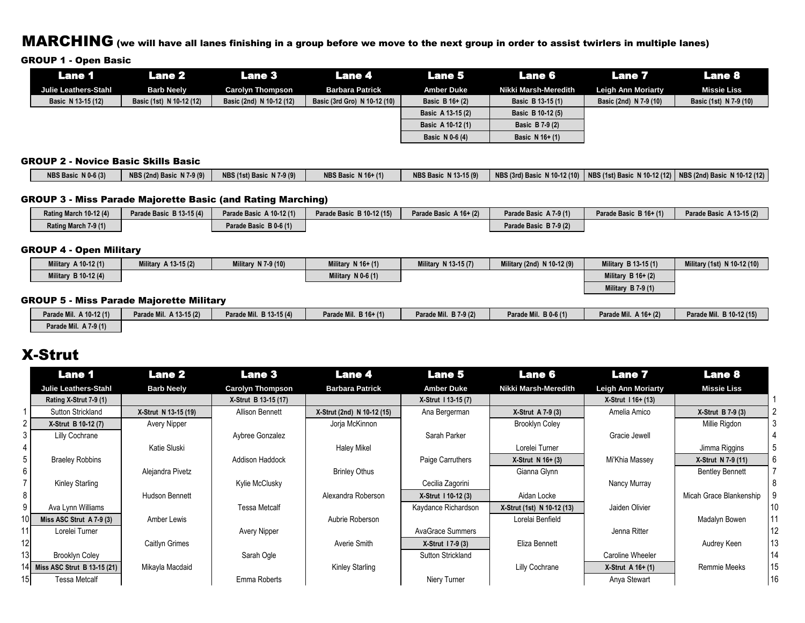### MARCHING (we will have all lanes finishing in a group before we move to the next group in order to assist twirlers in multiple lanes)

#### GROUP 1 - Open Basic

| Lane 1               | Lane 2                   | Lane 3'                  | Lane 4                       | <b>Lane 5</b>      | Lane 6               | <b>Lane 7</b>             | Lane 8                 |
|----------------------|--------------------------|--------------------------|------------------------------|--------------------|----------------------|---------------------------|------------------------|
| Julie Leathers-Stahl | <b>Barb Neely</b>        | <b>Carolyn Thompson</b>  | <b>Barbara Patrick</b>       | <b>Amber Duke</b>  | Nikki Marsh-Meredith | <b>Leigh Ann Moriarty</b> | <b>Missie Liss</b>     |
| Basic N 13-15 (12)   | Basic (1st) N 10-12 (12) | Basic (2nd) N 10-12 (12) | Basic (3rd Gro) N 10-12 (10) | Basic B $16 + (2)$ | Basic B 13-15 (1)    | Basic (2nd) N 7-9 (10)    | Basic (1st) N 7-9 (10) |
|                      |                          |                          |                              | Basic A 13-15 (2)  | Basic B 10-12 (5)    |                           |                        |
|                      |                          |                          |                              | Basic A 10-12 (1)  | Basic B 7-9 (2)      |                           |                        |
|                      |                          |                          |                              | Basic N 0-6 (4)    | Basic N 16+ (1)      |                           |                        |

#### GROUP 2 - Novice Basic Skills Basic

| <b>NBS Basic N 16+ (1)</b><br>NBS Basic $N(0.6(3))$<br>  NBS (3rd) Basic N 10-12 (10)   NBS (1st) Basic N 10-12 (12)   NBS (2nd) Basic N 10-12 (12)<br>$N$ 7-9 (9)<br>NBS (2nd) Basic N 7-9 (9)<br><b>NBS Basic N 13-15 (9)</b><br>NBS (1st) Basic |  |
|----------------------------------------------------------------------------------------------------------------------------------------------------------------------------------------------------------------------------------------------------|--|
|----------------------------------------------------------------------------------------------------------------------------------------------------------------------------------------------------------------------------------------------------|--|

#### GROUP 3 - Miss Parade Majorette Basic (and Rating Marching)

| Rating March 10-12 (4) | Parade Basic B 13-15 (4) | Parade Basic A 10-12 (1) | Parade Basic B 10-12 (15) | Parade Basic A 16+ (2) | Parade Basic A 7-9 (1) | Parade Basic B 16+ (1) | Parade Basic A 13-15 (2) |
|------------------------|--------------------------|--------------------------|---------------------------|------------------------|------------------------|------------------------|--------------------------|
| Rating March 7-9 (1)   |                          | Parade Basic B 0-6 (1)   |                           |                        | Parade Basic B 7-9 (2) |                        |                          |

#### GROUP 4 - Open Military

| Military A 10-12 (1) | Military A 13-15 (2) | Military N 7-9 (10) | Military N 16+ (1)   | <b>Military N 13-15 (7)</b> | Military (2nd) N 10-12 (9) | Military B 13-15 (1) | Military (1st) N 10-12 (10) |
|----------------------|----------------------|---------------------|----------------------|-----------------------------|----------------------------|----------------------|-----------------------------|
| Military B 10-12 (4) |                      |                     | Military $N$ 0-6 (1) |                             |                            | Military $B$ 16+ (2) |                             |
|                      |                      |                     |                      |                             |                            | Military $B$ 7-9 (1) |                             |

#### GROUP 5 - Miss Parade Majorette Military

| Parade Mil. A 10-12 (1) | Parade Mil. A 13-15 (2) | Parade Mil. B 13-15 (4) | Parade Mil. B 16+ (1) | Parade Mil. B 7-9 (2) | Parade Mil. B 0-6 (1) | Parade Mil. A 16+ (2) | Parade Mil. B 10-12 (15) |
|-------------------------|-------------------------|-------------------------|-----------------------|-----------------------|-----------------------|-----------------------|--------------------------|
| Parade Mil. A 7-9 (1)   |                         |                         |                       |                       |                       |                       |                          |

### X-Strut

|                | <b>Lane 1</b>               | <b>Lane 2</b>        | <b>Lane 3</b>           | <b>Lane 4</b>              | <b>Lane 5</b>            | <b>Lane 6</b>              | <b>Lane 7</b>             | <b>Lane 8</b>           |    |
|----------------|-----------------------------|----------------------|-------------------------|----------------------------|--------------------------|----------------------------|---------------------------|-------------------------|----|
|                | <b>Julie Leathers-Stahl</b> | <b>Barb Neely</b>    | <b>Carolyn Thompson</b> | <b>Barbara Patrick</b>     | <b>Amber Duke</b>        | Nikki Marsh-Meredith       | <b>Leigh Ann Moriarty</b> | <b>Missie Liss</b>      |    |
|                | Rating X-Strut 7-9 (1)      |                      | X-Strut B 13-15 (17)    |                            | X-Strut 1 13-15 (7)      |                            | X-Strut 1 16+ (13)        |                         |    |
|                | Sutton Strickland           | X-Strut N 13-15 (19) | Allison Bennett         | X-Strut (2nd) N 10-12 (15) | Ana Bergerman            | X-Strut A 7-9 (3)          | Amelia Amico              | X-Strut B 7-9 (3)       |    |
| $\overline{2}$ | X-Strut B 10-12 (7)         | Avery Nipper         |                         | Jorja McKinnon             |                          | <b>Brooklyn Coley</b>      |                           | Millie Rigdon           |    |
| 3              | Lilly Cochrane              |                      | Aybree Gonzalez         |                            | Sarah Parker             |                            | Gracie Jewell             |                         |    |
| 4              |                             | Katie Sluski         |                         | Haley Mikel                |                          | Lorelei Turner             |                           | Jimma Riggins           |    |
| 5 I            | <b>Braeley Robbins</b>      |                      | <b>Addison Haddock</b>  |                            | Paige Carruthers         | $X-S$ trut N 16+ $(3)$     | Mi'Khia Massey            | X-Strut N 7-9 (11)      | 6  |
| 6              |                             | Alejandra Pivetz     |                         | <b>Brinley Othus</b>       |                          | Gianna Glynn               |                           | <b>Bentley Bennett</b>  |    |
|                | Kinley Starling             |                      | Kylie McClusky          |                            | Cecilia Zagorini         |                            | Nancy Murray              |                         |    |
| 8              |                             | Hudson Bennett       |                         | Alexandra Roberson         | X-Strut 1 10-12 (3)      | Aidan Locke                |                           | Micah Grace Blankenship |    |
| 9              | Ava Lynn Williams           |                      | <b>Tessa Metcalf</b>    |                            | Kaydance Richardson      | X-Strut (1st) N 10-12 (13) | Jaiden Olivier            |                         |    |
|                | Miss ASC Strut A 7-9 (3)    | Amber Lewis          |                         | Aubrie Roberson            |                          | Lorelai Benfield           |                           | Madalyn Bowen           |    |
|                | Lorelei Turner              |                      | Avery Nipper            |                            | AvaGrace Summers         |                            | Jenna Ritter              |                         |    |
|                |                             | Caitlyn Grimes       |                         | Averie Smith               | X-Strut 17-9 (3)         | Eliza Bennett              |                           | Audrey Keen             | 13 |
|                | <b>Brooklyn Coley</b>       |                      | Sarah Ogle              |                            | <b>Sutton Strickland</b> |                            | Caroline Wheeler          |                         |    |
|                | Miss ASC Strut B 13-15 (21) | Mikayla Macdaid      |                         | Kinley Starling            |                          | Lilly Cochrane             | $X-S$ trut A 16+ (1)      | Remmie Meeks            | 15 |
|                | Tessa Metcalf               |                      | Emma Roberts            |                            | Niery Turner             |                            | Anya Stewart              |                         |    |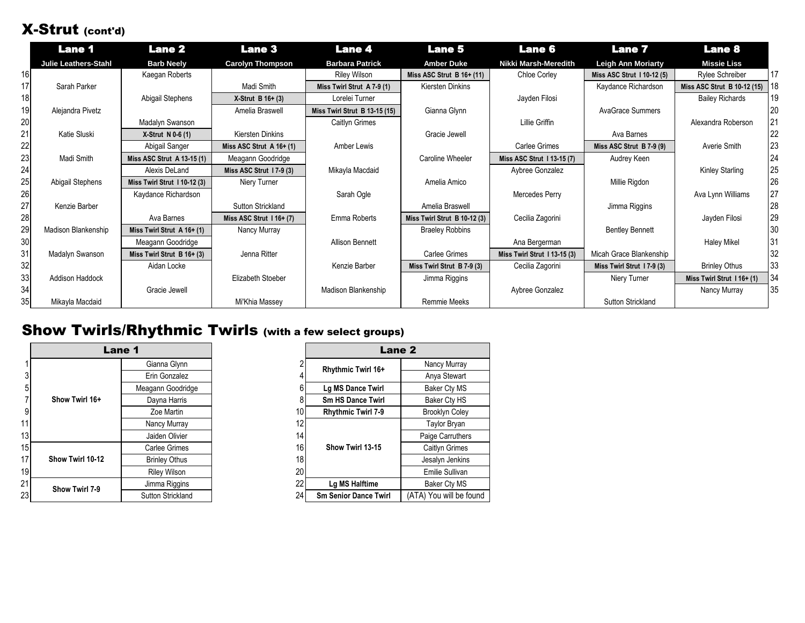## X-Strut (cont'd)

|    | <b>Lane 1</b>               | <b>Lane 2</b>                | <b>Lane 3</b>              | <b>Lane 4</b>                 | <b>Lane 5</b>                | <b>Lane 6</b>               | <b>Lane 7</b>             | <b>Lane 8</b>               |    |
|----|-----------------------------|------------------------------|----------------------------|-------------------------------|------------------------------|-----------------------------|---------------------------|-----------------------------|----|
|    | <b>Julie Leathers-Stahl</b> | <b>Barb Neely</b>            | <b>Carolyn Thompson</b>    | <b>Barbara Patrick</b>        | <b>Amber Duke</b>            | Nikki Marsh-Meredith        | <b>Leigh Ann Moriarty</b> | <b>Missie Liss</b>          |    |
|    |                             | Kaegan Roberts               |                            | <b>Riley Wilson</b>           | Miss ASC Strut $B$ 16+ (11)  | <b>Chloe Corley</b>         | Miss ASC Strut 110-12 (5) | Rylee Schreiber             | 17 |
|    | Sarah Parker                |                              | Madi Smith                 | Miss Twirl Strut A 7-9 (1)    | Kiersten Dinkins             |                             | Kaydance Richardson       | Miss ASC Strut B 10-12 (15) | 18 |
|    |                             | Abigail Stephens             | $X-S$ trut B 16+ (3)       | Lorelei Turner                |                              | Jayden Filosi               |                           | <b>Bailey Richards</b>      | 19 |
|    | Alejandra Pivetz            |                              | Amelia Braswell            | Miss Twirl Strut B 13-15 (15) | Gianna Glynn                 |                             | <b>AvaGrace Summers</b>   |                             |    |
| 20 |                             | Madalyn Swanson              |                            | Caitlyn Grimes                |                              | Lillie Griffin              |                           | Alexandra Roberson          |    |
| 21 | Katie Sluski                | $X-S$ trut N 0-6 (1)         | Kiersten Dinkins           |                               | Gracie Jewell                |                             | Ava Barnes                |                             |    |
|    |                             | Abigail Sanger               | Miss ASC Strut $A$ 16+ (1) | Amber Lewis                   |                              | <b>Carlee Grimes</b>        | Miss ASC Strut B 7-9 (9)  | Averie Smith                | 23 |
|    | Madi Smith                  | Miss ASC Strut A 13-15 (1)   | Meagann Goodridge          |                               | Caroline Wheeler             | Miss ASC Strut 113-15 (7)   | Audrey Keen               |                             | 24 |
|    |                             | Alexis DeLand                | Miss ASC Strut 17-9 (3)    | Mikayla Macdaid               |                              | Aybree Gonzalez             |                           | Kinley Starling             | 25 |
|    | Abigail Stephens            | Miss Twirl Strut 110-12 (3)  | Niery Turner               |                               | Amelia Amico                 |                             | Millie Rigdon             |                             | 26 |
|    |                             | Kaydance Richardson          |                            | Sarah Ogle                    |                              | Mercedes Perry              |                           | Ava Lynn Williams           |    |
|    | Kenzie Barber               |                              | Sutton Strickland          |                               | Amelia Braswell              |                             | Jimma Riggins             |                             | 28 |
|    |                             | Ava Barnes                   | Miss ASC Strut $116+ (7)$  | Emma Roberts                  | Miss Twirl Strut B 10-12 (3) | Cecilia Zagorini            |                           | Jayden Filosi               | 29 |
| 29 | <b>Madison Blankenship</b>  | Miss Twirl Strut A 16+ (1)   | Nancy Murray               |                               | <b>Braeley Robbins</b>       |                             | <b>Bentley Bennett</b>    |                             | 30 |
|    |                             | Meagann Goodridge            |                            | <b>Allison Bennett</b>        |                              | Ana Bergerman               |                           | <b>Haley Mikel</b>          | 31 |
| 31 | Madalyn Swanson             | Miss Twirl Strut $B$ 16+ (3) | Jenna Ritter               |                               | Carlee Grimes                | Miss Twirl Strut 113-15 (3) | Micah Grace Blankenship   |                             | 32 |
| 32 |                             | Aidan Locke                  |                            | Kenzie Barber                 | Miss Twirl Strut B 7-9 (3)   | Cecilia Zagorini            | Miss Twirl Strut 17-9 (3) | <b>Brinley Othus</b>        | 33 |
| 33 | Addison Haddock             |                              | Elizabeth Stoeber          |                               | Jimma Riggins                |                             | Niery Turner              | Miss Twirl Strut 116+(1)    | 34 |
| 34 |                             | Gracie Jewell                |                            | Madison Blankenship           |                              | Aybree Gonzalez             |                           | Nancy Murray                | 35 |
|    | Mikayla Macdaid             |                              | Mi'Khia Massey             |                               | <b>Remmie Meeks</b>          |                             | <b>Sutton Strickland</b>  |                             |    |

## Show Twirls/Rhythmic Twirls (with a few select groups)

|                 |                  | Lane 1               |    |                              | Lane 2                |
|-----------------|------------------|----------------------|----|------------------------------|-----------------------|
|                 |                  | Gianna Glynn         |    | <b>Rhythmic Twirl 16+</b>    | Nancy Murray          |
| 3               |                  | Erin Gonzalez        |    |                              | Anya Stewart          |
| 5               |                  | Meagann Goodridge    |    | Lg MS Dance Twirl            | Baker Cty MS          |
|                 | Show Twirl 16+   | Dayna Harris         |    | <b>Sm HS Dance Twirl</b>     | Baker Cty HS          |
| 9               |                  | Zoe Martin           | 10 | <b>Rhythmic Twirl 7-9</b>    | <b>Brooklyn Coley</b> |
| 11              |                  | Nancy Murray         | 12 |                              | Taylor Bryan          |
| 13 <sub>l</sub> |                  | Jaiden Olivier       | 14 |                              | Paige Carruthers      |
| 15 <sup>1</sup> |                  | Carlee Grimes        | 16 | Show Twirl 13-15             | Caitlyn Grimes        |
| 17              | Show Twirl 10-12 | <b>Brinley Othus</b> | 18 |                              | Jesalyn Jenkins       |
| 19              |                  | <b>Riley Wilson</b>  | 20 |                              | Emilie Sullivan       |
| 21              | Show Twirl 7-9   | Jimma Riggins        | 22 | Lg MS Halftime               | Baker Cty MS          |
| 231             |                  | Sutton Strickland    | 24 | <b>Sm Senior Dance Twirl</b> | (ATA) You will be fo  |

|                 |                                    | <b>Lane 1</b>        |    | Lane <sub>2</sub>            |                         |  |  |
|-----------------|------------------------------------|----------------------|----|------------------------------|-------------------------|--|--|
|                 |                                    | Gianna Glynn         |    | <b>Rhythmic Twirl 16+</b>    | Nancy Murray            |  |  |
| 3               |                                    | Erin Gonzalez        |    |                              | Anya Stewart            |  |  |
| 5               |                                    | Meagann Goodridge    |    | Lg MS Dance Twirl            | <b>Baker Cty MS</b>     |  |  |
|                 | Show Twirl 16+                     | Dayna Harris         |    | <b>Sm HS Dance Twirl</b>     | Baker Cty HS            |  |  |
| 9               |                                    | Zoe Martin           | 10 | <b>Rhythmic Twirl 7-9</b>    | <b>Brooklyn Coley</b>   |  |  |
| 11              |                                    | Nancy Murray         | 12 |                              | <b>Taylor Bryan</b>     |  |  |
| 13              |                                    | Jaiden Olivier       | 14 |                              | Paige Carruthers        |  |  |
| 15              |                                    | Carlee Grimes        | 16 | Show Twirl 13-15             | Caitlyn Grimes          |  |  |
| 17              | Show Twirl 10-12<br>Show Twirl 7-9 | <b>Brinley Othus</b> | 18 |                              | Jesalyn Jenkins         |  |  |
| 19 <sup>l</sup> |                                    | <b>Riley Wilson</b>  | 20 |                              | <b>Emilie Sullivan</b>  |  |  |
| 21              |                                    | Jimma Riggins        | 22 | Lg MS Halftime               | Baker Cty MS            |  |  |
| 23              |                                    | Sutton Strickland    | 24 | <b>Sm Senior Dance Twirl</b> | (ATA) You will be found |  |  |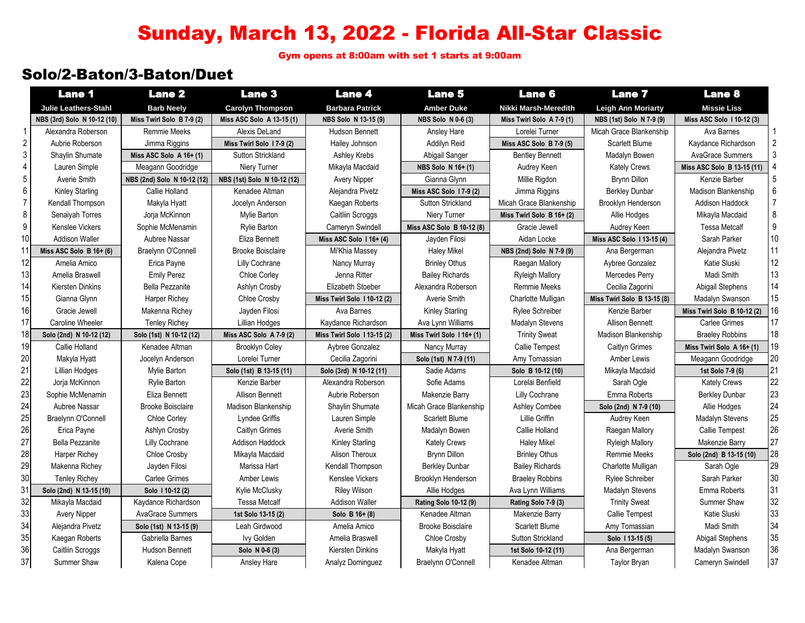# Sunday, March 13, 2022 - Florida All-Star Classic

Gym opens at 8:00am with set 1 starts at 9:00am

### Solo/2-Baton/3-Baton/Duet

|                | <b>Lane 1</b>               | <b>Lane 2</b>               | <b>Lane 3</b>               | <b>Lane 4</b>              | <b>Lane 5</b>             | <b>Lane 6</b>             | <b>Lane 7</b>               | <b>Lane 8</b>               |    |
|----------------|-----------------------------|-----------------------------|-----------------------------|----------------------------|---------------------------|---------------------------|-----------------------------|-----------------------------|----|
|                | <b>Julie Leathers-Stahl</b> | <b>Barb Neely</b>           | <b>Carolyn Thompson</b>     | <b>Barbara Patrick</b>     | <b>Amber Duke</b>         | Nikki Marsh-Meredith      | <b>Leigh Ann Moriarty</b>   | <b>Missie Liss</b>          |    |
|                | NBS (3rd) Solo N 10-12 (10) | Miss Twirl Solo B 7-9 (2)   | Miss ASC Solo A 13-15 (1)   | NBS Solo N 13-15 (9)       | NBS Solo N 0-6 (3)        | Miss Twirl Solo A 7-9 (1) | NBS (1st) Solo N 7-9 (9)    | Miss ASC Solo 110-12 (3)    |    |
| -1             | Alexandra Roberson          | Remmie Meeks                | Alexis DeLand               | <b>Hudson Bennett</b>      | <b>Ansley Hare</b>        | Lorelei Turner            | Micah Grace Blankenship     | Ava Barnes                  |    |
| $\overline{c}$ | Aubrie Roberson             | Jimma Riggins               | Miss Twirl Solo 17-9 (2)    | Hailey Johnson             | Addilyn Reid              | Miss ASC Solo B 7-9 (5)   | Scarlett Blume              | Kaydance Richardson         |    |
| 3              | Shaylin Shumate             | Miss ASC Solo $A$ 16+ (1)   | <b>Sutton Strickland</b>    | Ashley Krebs               | Abigail Sanger            | <b>Bentley Bennett</b>    | Madalyn Bowen               | <b>AvaGrace Summers</b>     |    |
| 4              | Lauren Simple               | Meagann Goodridge           | Niery Turner                | Mikayla Macdaid            | NBS Solo N 16+ (1)        | Audrey Keen               | <b>Kately Crews</b>         | Miss ASC Solo B 13-15 (11)  |    |
| 5              | Averie Smith                | NBS (2nd) Solo N 10-12 (12) | NBS (1st) Solo N 10-12 (12) | <b>Avery Nipper</b>        | Gianna Glynn              | Millie Rigdon             | <b>Brynn Dillon</b>         | Kenzie Barber               |    |
| 6              | <b>Kinley Starling</b>      | Callie Holland              | Kenadee Altman              | Alejandra Pivetz           | Miss ASC Solo 17-9 (2)    | Jimma Riggins             | <b>Berkley Dunbar</b>       | Madison Blankenship         | 6  |
| 7              | Kendall Thompson            | Makyla Hyatt                | Jocelyn Anderson            | Kaegan Roberts             | <b>Sutton Strickland</b>  | Micah Grace Blankenship   | Brooklyn Henderson          | Addison Haddock             | 7  |
| 8              | Senaiyah Torres             | Jorja McKinnon              | Mylie Barton                | Caitliin Scroggs           | Niery Turner              | Miss Twirl Solo B 16+ (2) | Allie Hodges                | Mikayla Macdaid             | 8  |
| 9              | Kenslee Vickers             | Sophie McMenamin            | <b>Rylie Barton</b>         | Cameryn Swindell           | Miss ASC Solo B 10-12 (8) | Gracie Jewell             | Audrey Keen                 | <b>Tessa Metcalf</b>        | 9  |
| 10             | <b>Addison Waller</b>       | Aubree Nassar               | Eliza Bennett               | Miss ASC Solo $116+ (4)$   | Jayden Filosi             | Aidan Locke               | Miss ASC Solo 113-15 (4)    | Sarah Parker                | 10 |
| 11             | Miss ASC Solo $B$ 16+ (6)   | Braelynn O'Connell          | <b>Brooke Boisclaire</b>    | Mi'Khia Massey             | <b>Haley Mikel</b>        | NBS (2nd) Solo N 7-9 (9)  | Ana Bergerman               | Alejandra Pivetz            | 11 |
| 12             | Amelia Amico                | Erica Payne                 | Lilly Cochrane              | Nancy Murray               | <b>Brinley Othus</b>      | Raegan Mallory            | Aybree Gonzalez             | Katie Sluski                | 12 |
| 13             | Amelia Braswell             | <b>Emily Perez</b>          | Chloe Corley                | Jenna Ritter               | <b>Bailey Richards</b>    | <b>Ryleigh Mallory</b>    | Mercedes Perry              | Madi Smith                  | 13 |
| 14             | Kiersten Dinkins            | Bella Pezzanite             | Ashlyn Crosby               | Elizabeth Stoeber          | Alexandra Roberson        | <b>Remmie Meeks</b>       | Cecilia Zagorini            | Abigail Stephens            | 14 |
| 15             | Gianna Glynn                | <b>Harper Richey</b>        | Chloe Crosby                | Miss Twirl Solo 110-12 (2) | Averie Smith              | Charlotte Mulligan        | Miss Twirl Solo B 13-15 (8) | Madalyn Swanson             | 15 |
| 16             | Gracie Jewell               | Makenna Richey              | Jayden Filosi               | Ava Barnes                 | <b>Kinley Starling</b>    | Rylee Schreiber           | Kenzie Barber               | Miss Twirl Solo B 10-12 (2) | 16 |
| 17             | Caroline Wheeler            | <b>Tenley Richey</b>        | Lillian Hodges              | Kaydance Richardson        | Ava Lynn Williams         | Madalyn Stevens           | <b>Allison Bennett</b>      | Carlee Grimes               | 17 |
| 18             | Solo (2nd) N 10-12 (12)     | Solo (1st) N 10-12 (12)     | Miss ASC Solo A 7-9 (2)     | Miss Twirl Solo 113-15 (2) | Miss Twirl Solo 116+ (1)  | <b>Trinity Sweat</b>      | Madison Blankenship         | <b>Braeley Robbins</b>      | 18 |
| 19             | Callie Holland              | Kenadee Altman              | <b>Brooklyn Coley</b>       | Aybree Gonzalez            | Nancy Murray              | Callie Tempest            | <b>Caitlyn Grimes</b>       | Miss Twirl Solo A 16+ (1)   | 19 |
| 20             | Makyla Hyatt                | Jocelyn Anderson            | Lorelei Turner              | Cecilia Zagorini           | Solo (1st) N 7-9 (11)     | Amy Tomassian             | Amber Lewis                 | Meagann Goodridge           | 20 |
| 21             | Lillian Hodges              | Mylie Barton                | Solo (1st) B 13-15 (11)     | Solo (3rd) N 10-12 (11)    | Sadie Adams               | Solo B 10-12 (10)         | Mikayla Macdaid             | 1st Solo 7-9 (6)            | 21 |
| 22             | Jorja McKinnon              | Rylie Barton                | Kenzie Barber               | Alexandra Roberson         | Sofie Adams               | Lorelai Benfield          | Sarah Ogle                  | <b>Kately Crews</b>         | 22 |
| 23             | Sophie McMenamin            | Eliza Bennett               | <b>Allison Bennett</b>      | Aubrie Roberson            | Makenzie Barry            | Lilly Cochrane            | Emma Roberts                | <b>Berkley Dunbar</b>       | 23 |
| 24             | Aubree Nassar               | <b>Brooke Boisclaire</b>    | Madison Blankenship         | Shaylin Shumate            | Micah Grace Blankenship   | <b>Ashley Combee</b>      | Solo (2nd) N 7-9 (10)       | Allie Hodges                | 24 |
| 25             | Braelynn O'Connell          | <b>Chloe Corley</b>         | Lyndee Griffis              | Lauren Simple              | <b>Scarlett Blume</b>     | Lillie Griffin            | Audrey Keen                 | Madalyn Stevens             | 25 |
| 26             | Erica Payne                 | Ashlyn Crosby               | Caitlyn Grimes              | Averie Smith               | Madalyn Bowen             | Callie Holland            | Raegan Mallory              | Callie Tempest              | 26 |
| 27             | <b>Bella Pezzanite</b>      | Lilly Cochrane              | <b>Addison Haddock</b>      | Kinley Starling            | <b>Kately Crews</b>       | <b>Haley Mikel</b>        | <b>Ryleigh Mallory</b>      | Makenzie Barry              | 27 |
| 28             | Harper Richey               | Chloe Crosby                | Mikayla Macdaid             | Alison Theroux             | <b>Brynn Dillon</b>       | <b>Brinley Othus</b>      | Remmie Meeks                | Solo (2nd) B 13-15 (10)     | 28 |
| 29             | Makenna Richey              | Jayden Filosi               | Marissa Hart                | Kendall Thompson           | <b>Berkley Dunbar</b>     | <b>Bailey Richards</b>    | Charlotte Mulligan          | Sarah Ogle                  | 29 |
| 30             | <b>Tenley Richey</b>        | <b>Carlee Grimes</b>        | Amber Lewis                 | Kenslee Vickers            | Brooklyn Henderson        | <b>Braeley Robbins</b>    | <b>Rylee Schreiber</b>      | Sarah Parker                | 30 |
| 31             | Solo (2nd) N 13-15 (10)     | Solo 110-12 (2)             | Kylie McClusky              | <b>Riley Wilson</b>        | Allie Hodges              | Ava Lynn Williams         | Madalyn Stevens             | Emma Roberts                | 31 |
| 32             | Mikayla Macdaid             | Kaydance Richardson         | <b>Tessa Metcalf</b>        | <b>Addison Waller</b>      | Rating Solo 10-12 (9)     | Rating Solo 7-9 (3)       | <b>Trinity Sweat</b>        | Summer Shaw                 | 32 |
| 33             | Avery Nipper                | <b>AvaGrace Summers</b>     | 1st Solo 13-15 (2)          | Solo B $16+ (8)$           | Kenadee Altman            | Makenzie Barry            | Callie Tempest              | Katie Sluski                | 33 |
| 34             | Alejandra Pivetz            | Solo (1st) N 13-15 (9)      | Leah Girdwood               | Amelia Amico               | <b>Brooke Boisclaire</b>  | Scarlett Blume            | Amy Tomassian               | Madi Smith                  | 34 |
| 35             | Kaegan Roberts              | Gabriella Barnes            | <b>Ivy Golden</b>           | Amelia Braswell            | <b>Chloe Crosby</b>       | <b>Sutton Strickland</b>  | Solo 113-15 (5)             | Abigail Stephens            | 35 |
| 36             | Caitliin Scroggs            | <b>Hudson Bennett</b>       | Solo N 0-6 (3)              | Kiersten Dinkins           | Makyla Hyatt              | 1st Solo 10-12 (11)       | Ana Bergerman               | Madalyn Swanson             | 36 |
| 37             | Summer Shaw                 | Kalena Cope                 | Ansley Hare                 | Analyz Dominguez           | Braelynn O'Connell        | Kenadee Altman            | <b>Taylor Bryan</b>         | Cameryn Swindell            | 37 |